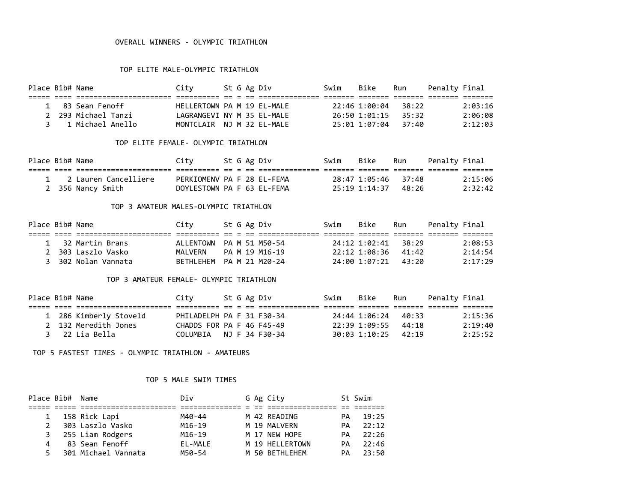#### OVERALL WINNERS - OLYMPIC TRIATHLON

### TOP ELITE MALE-OLYMPIC TRIATHLON

| Place Bib# Name |                     | City                       |  | St G Ag Div | Swim | Bike          | Run   | Penalty Final |         |
|-----------------|---------------------|----------------------------|--|-------------|------|---------------|-------|---------------|---------|
|                 |                     |                            |  |             |      |               |       |               |         |
|                 | 1 83 Sean Fenoff    | HEILERTOWN PA M 19 FL-MALF |  |             |      | 22:46 1:00:04 | 38:22 |               | 2:03:16 |
|                 | 2 293 Michael Tanzi | LAGRANGEVI NY M 35 EL-MALE |  |             |      | 26:50 1:01:15 | 35:32 |               | 2:06:08 |
|                 | 3 1 Michael Anello  | MONTCLATR NJ M 32 FL-MALF  |  |             |      | 25:01 1:07:04 | 37:40 |               | 2:12:03 |

#### TOP ELITE FEMALE- OLYMPIC TRIATHLON

| Place Bib# Name |                        | Citv                       |  | St G Ag Div | Swim | Bike                | Run | Penalty Final |         |
|-----------------|------------------------|----------------------------|--|-------------|------|---------------------|-----|---------------|---------|
|                 |                        |                            |  |             |      |                     |     |               |         |
|                 | 1 2 Lauren Cancelliere | PERKIOMENV PA F 28 EL-FEMA |  |             |      | 28:47 1:05:46 37:48 |     |               | 2:15:06 |
|                 | 2 356 Nancy Smith      | DOYLESTOWN PA F 63 EL-FEMA |  |             |      | 25:19 1:14:37 48:26 |     |               | 2:32:42 |

### TOP 3 AMATEUR MALES-OLYMPIC TRIATHLON

| Place Bib# Name |                     | City                     |  | St G Ag Div    | Swim | Bike                | Run | Penalty Final |         |
|-----------------|---------------------|--------------------------|--|----------------|------|---------------------|-----|---------------|---------|
|                 |                     |                          |  |                |      |                     |     |               |         |
|                 | 1 32 Martin Brans   | ALLENTOWN PA M 51 M50-54 |  |                |      | 24:12 1:02:41 38:29 |     |               | 2:08:53 |
|                 | 2 303 Laszlo Vasko  | MAI VFRN                 |  | PA M 19 M16-19 |      | 22:12 1:08:36 41:42 |     |               | 2:14:54 |
|                 | 3 302 Nolan Vannata | BETHLEHEM PA M 21 M20-24 |  |                |      | 24:00 1:07:21 43:20 |     |               | 2:17:29 |

### TOP 3 AMATEUR FEMALE- OLYMPIC TRIATHLON

| Place Bib# Name |                        | City                      |  | St G Ag Div | Swim | Bike                | Run | Penalty Final |         |
|-----------------|------------------------|---------------------------|--|-------------|------|---------------------|-----|---------------|---------|
|                 |                        |                           |  |             |      |                     |     |               |         |
|                 | 1 286 Kimberly Stoveld | PHILADELPH PA F 31 F30-34 |  |             |      | 24:44 1:06:24 40:33 |     |               | 2:15:36 |
|                 | 2 132 Meredith Jones   | CHADDS FOR PA F 46 F45-49 |  |             |      | 22:39 1:09:55 44:18 |     |               | 2:19:40 |
|                 | 3 22 Lia Bella         | COLUMBIA NJ F 34 F30-34   |  |             |      | 30:03 1:10:25 42:19 |     |               | 2:25:52 |

TOP 5 FASTEST TIMES - OLYMPIC TRIATHLON - AMATEURS

#### TOP 5 MALE SWIM TIMES

|               | Place Bib# Name |                     | Div     |  | G Ag City       |     | St Swim |
|---------------|-----------------|---------------------|---------|--|-----------------|-----|---------|
|               |                 |                     |         |  |                 |     |         |
|               |                 | 158 Rick Lapi       | M40-44  |  | M 42 READING    | PА  | 19:25   |
| $\mathcal{P}$ |                 | 303 Laszlo Vasko    | M16-19  |  | M 19 MALVERN    | PА  | 22:12   |
|               |                 | 3 255 Liam Rodgers  | M16-19  |  | M 17 NEW HOPE   | PА. | 22:26   |
|               |                 | 83 Sean Fenoff      | EL-MALE |  | M 19 HELLERTOWN | PА  | 22:46   |
| 5.            |                 | 301 Michael Vannata | M50-54  |  | M 50 BETHLEHEM  | PА  | 23:50   |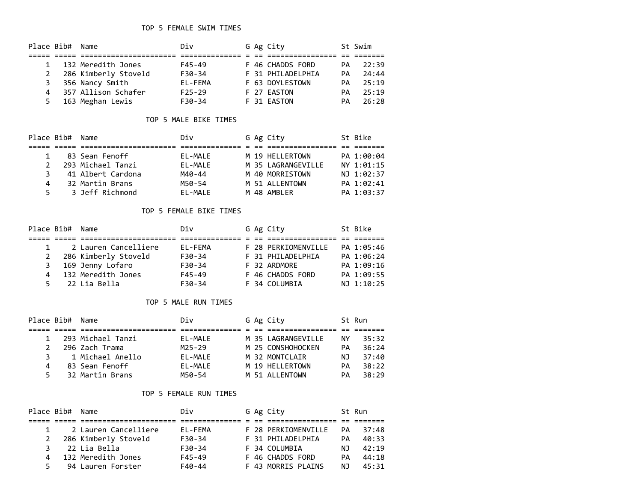|    | Place Bib# Name |                      | Div        |  | G Ag City         |     | St Swim |
|----|-----------------|----------------------|------------|--|-------------------|-----|---------|
|    |                 |                      |            |  |                   |     |         |
|    |                 | 132 Meredith Jones   | F45-49     |  | F 46 CHADDS FORD  | PA. | 22:39   |
|    |                 | 286 Kimberly Stoveld | F30-34     |  | F 31 PHILADELPHIA | PА. | 24:44   |
|    |                 | 356 Nancy Smith      | EL-FEMA    |  | F 63 DOYLESTOWN   | PA. | 25:19   |
| 4  |                 | 357 Allison Schafer  | $F25 - 29$ |  | F 27 EASTON       | PА. | 25:19   |
| 5. |                 | 163 Meghan Lewis     | $F30-34$   |  | F 31 EASTON       | PA  | 26:28   |

## TOP 5 MALE BIKE TIMES

|               | Place Bib# Name |                   | Div         |  | G Ag City          | St Bike    |
|---------------|-----------------|-------------------|-------------|--|--------------------|------------|
|               |                 |                   |             |  |                    |            |
|               |                 | 83 Sean Fenoff    | FI-MAIF     |  | M 19 HELLERTOWN    | PA 1:00:04 |
| $\mathcal{P}$ |                 | 293 Michael Tanzi | $FI - MAIF$ |  | M 35 LAGRANGEVILLE | NY 1:01:15 |
| З.            |                 | 41 Albert Cardona | M40-44      |  | M 40 MORRISTOWN    | NJ 1:02:37 |
| 4             |                 | 32 Martin Brans   | M50-54      |  | M 51 ALLENTOWN     | PA 1:02:41 |
| 5.            |                 | 3 Jeff Richmond   | $FI - MAIF$ |  | M 48 AMBLER        | PA 1:03:37 |

#### TOP 5 FEMALE BIKE TIMES

|    | Place Bib# Name |                      | Div     |  | G Ag City           | St Bike    |
|----|-----------------|----------------------|---------|--|---------------------|------------|
|    |                 |                      |         |  |                     |            |
|    | $\mathbf{1}$    | 2 Lauren Cancelliere | EL-FEMA |  | F 28 PERKIOMENVILLE | PA 1:05:46 |
| 2  |                 | 286 Kimberly Stoveld | F30-34  |  | F 31 PHILADELPHIA   | PA 1:06:24 |
|    |                 | 3 169 Jenny Lofaro   | F30-34  |  | F 32 ARDMORE        | PA 1:09:16 |
| 4  |                 | 132 Meredith Jones   | F45-49  |  | F 46 CHADDS FORD    | PA 1:09:55 |
| 5. |                 | 22 Lia Bella         | F30-34  |  | F 34 COLUMBIA       | NJ 1:10:25 |

## TOP 5 MALE RUN TIMES

| Place Bib# | Name              | Div         |  | G Ag City          |     | St Run |
|------------|-------------------|-------------|--|--------------------|-----|--------|
|            |                   |             |  |                    |     |        |
|            | 293 Michael Tanzi | EL-MALE     |  | M 35 LAGRANGEVILLE | NY. | 35:32  |
|            | 296 Zach Trama    | M25-29      |  | M 25 CONSHOHOCKEN  | PА. | 36:24  |
|            | 1 Michael Anello  | $FI - MAIF$ |  | M 32 MONTCLAIR     | NJ. | 37:40  |
| 4          | 83 Sean Fenoff    | EL-MALE     |  | M 19 HELLERTOWN    | PА  | 38:22  |
|            | 32 Martin Brans   | M50-54      |  | M 51 ALLENTOWN     | PА. | 38:29  |

# TOP 5 FEMALE RUN TIMES

|   | Place Bib# Name |                      | Div      |  | G Ag City           |     | St Run |
|---|-----------------|----------------------|----------|--|---------------------|-----|--------|
|   |                 |                      |          |  |                     |     |        |
|   |                 | 2 Lauren Cancelliere | EL-FEMA  |  | F 28 PERKIOMENVILLE | PA  | 37:48  |
| 2 |                 | 286 Kimberly Stoveld | $F30-34$ |  | F 31 PHILADELPHIA   | PА  | 40:33  |
|   |                 | 22 Lia Bella         | F30-34   |  | F 34 COLUMBIA       | NJ. | 42:19  |
|   |                 | 132 Meredith Jones   | F45-49   |  | F 46 CHADDS FORD    | PА  | 44:18  |
|   |                 | 94 Lauren Forster    | $F40-44$ |  | F 43 MORRIS PLAINS  | N J | 45:31  |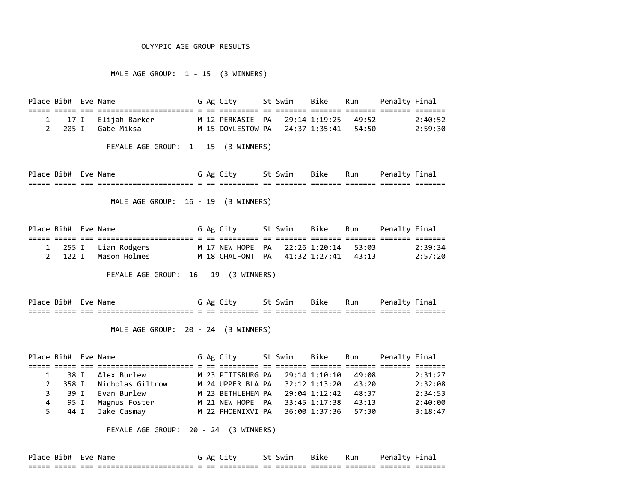#### OLYMPIC AGE GROUP RESULTS

MALE AGE GROUP: 1 - 15 (3 WINNERS)

Place Bib# Eve Name The Stage City St Swim Bike Run Penalty Final ===== ===== === ====================== = == ========= == ======= ======= ======= ======= ======= 1 17 I Elijah Barker M 12 PERKASIE PA 29:14 1:19:25 49:52 2:40:52 2 205 I Gabe Miksa M 15 DOYLESTOW PA 24:37 1:35:41 54:50 2:59:30

FEMALE AGE GROUP: 1 - 15 (3 WINNERS)

Place Bib# Eve Name The Society St Swim Bike Run Penalty Final ===== ===== === ====================== = == ========= == ======= ======= ======= ======= =======

MALE AGE GROUP: 16 - 19 (3 WINNERS)

| Place Bib# Eve Name |  |                      |  | G Ag City                            | St Swim Bike Run Penalty-Final |  |         |
|---------------------|--|----------------------|--|--------------------------------------|--------------------------------|--|---------|
|                     |  |                      |  |                                      |                                |  |         |
|                     |  | 1 255 I Liam Rodgers |  | M 17 NEW HOPE PA 22:26 1:20:14 53:03 |                                |  | 2:39:34 |
|                     |  | 2 122 I Mason Holmes |  | M 18 CHALFONT PA 41:32 1:27:41 43:13 |                                |  | 2:57:20 |

FEMALE AGE GROUP: 16 - 19 (3 WINNERS)

Place Bib# Eve Name G Ag City St Swim Bike Run Penalty Final ===== ===== === ====================== = == ========= == ======= ======= ======= ======= =======

MALE AGE GROUP: 20 - 24 (3 WINNERS)

Place Bib# Eve Name The Stag City St Swim Bike Run Penalty Final ===== ===== === ====================== = == ========= == ======= ======= ======= ======= ======= 1 38 I Alex Burlew M 23 PITTSBURG PA 29:14 1:10:10 49:08 2:31:27 2 358 I Nicholas Giltrow M 24 UPPER BLA PA 32:12 1:13:20 43:20 2:32:08 3 39 I Evan Burlew M 23 BETHLEHEM PA 29:04 1:12:42 48:37 2:34:53 4 95 I Magnus Foster M 21 NEW HOPE PA 33:45 1:17:38 43:13 2:40:00 5 44 I Jake Casmay M 22 PHOENIXVI PA 36:00 1:37:36 57:30 3:18:47

FEMALE AGE GROUP: 20 - 24 (3 WINNERS)

| Place Bib#    | Eve         | Name                                                  | Αg         |                         |              | ີ† Swim | Bike | Run                 | Penal<br>ΤV |                    |
|---------------|-------------|-------------------------------------------------------|------------|-------------------------|--------------|---------|------|---------------------|-------------|--------------------|
| ___<br>------ | ____<br>--- | ________________________<br>----------------------- - | ___<br>___ | _________<br>__________ | $ -$<br>$ -$ |         |      | _______<br>________ | _______     | _______<br>------- |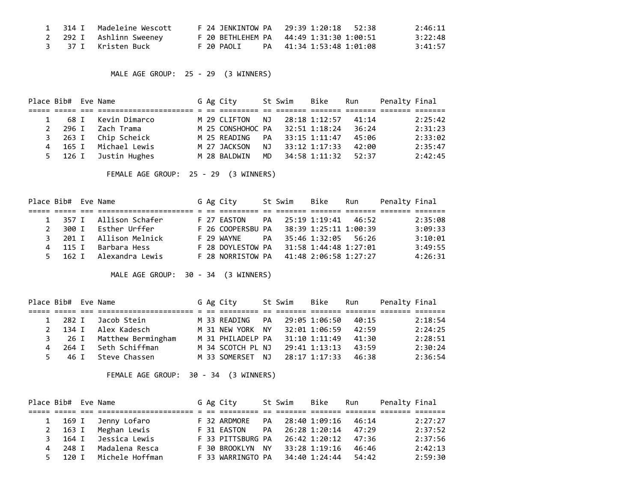|  | 1 314 I Madeleine Wescott  |            | F 24 JENKINTOW PA 29:39 1:20:18 52:38   | 2:46:11 |
|--|----------------------------|------------|-----------------------------------------|---------|
|  | 2 292 I Ashlinn Sweeney    |            | F 20 BETHLEHEM PA 44:49 1:31:30 1:00:51 | 3:22:48 |
|  | 3     37 I    Kristen Buck | F 20 PAOIT | PA 41:34 1:53:48 1:01:08                | 3:41:57 |

MALE AGE GROUP: 25 - 29 (3 WINNERS)

| Place Bib# Eve Name |         |               |  | G Ag City         |     | St Swim | Bike          | Run   | Penalty Final |         |
|---------------------|---------|---------------|--|-------------------|-----|---------|---------------|-------|---------------|---------|
|                     |         |               |  |                   |     |         |               |       |               |         |
|                     | 68 I    | Kevin Dimarco |  | M 29 CLIFTON      | NJ. |         | 28:18 1:12:57 | 41:14 |               | 2:25:42 |
|                     | 296 I   | Zach Trama    |  | M 25 CONSHOHOC PA |     |         | 32:51 1:18:24 | 36:24 |               | 2:31:23 |
|                     | 3 263 I | Chip Scheick  |  | M 25 READING      | PA  |         | 33:15 1:11:47 | 45:06 |               | 2:33:02 |
| 4                   | 165 I   | Michael Lewis |  | M 27 JACKSON      | ΝJ  |         | 33:12 1:17:33 | 42:00 |               | 2:35:47 |
|                     | 5 126 I | Justin Hughes |  | M 28 BALDWIN      | MD. |         | 34:58 1:11:32 | 52:37 |               | 2:42:45 |

FEMALE AGE GROUP: 25 - 29 (3 WINNERS)

|              | Place Bib# Eve Name |                         |  | G Ag City                               |    | St Swim | Bike                  | Run | Penalty Final |         |
|--------------|---------------------|-------------------------|--|-----------------------------------------|----|---------|-----------------------|-----|---------------|---------|
|              |                     |                         |  |                                         |    |         |                       |     |               |         |
|              |                     | 1 357 I Allison Schafer |  | F 27 EASTON                             | PA |         | 25:19 1:19:41 46:52   |     |               | 2:35:08 |
| $\mathbf{2}$ | 300 T               | Esther Urffer           |  | F 26 COOPERSBU PA 38:39 1:25:11 1:00:39 |    |         |                       |     |               | 3:09:33 |
|              | 3 201 T             | Allison Melnick         |  | F 29 WAYNF                              | PA |         | 35:46 1:32:05 56:26   |     |               | 3:10:01 |
|              | 4 115 I             | Barbara Hess            |  | F 28 DOYLESTOW PA                       |    |         | 31:58 1:44:48 1:27:01 |     |               | 3:49:55 |
|              | 5 162 T             | Alexandra Lewis         |  | F 28 NORRISTOW PA                       |    |         | 41:48 2:06:58 1:27:27 |     |               | 4:26:31 |

MALE AGE GROUP: 30 - 34 (3 WINNERS)

| Place Bib# Eve Name |         |                           |  | G Ag City                            | St Swim | Bike                | Run   | Penalty Final |         |
|---------------------|---------|---------------------------|--|--------------------------------------|---------|---------------------|-------|---------------|---------|
|                     |         |                           |  |                                      |         |                     |       |               |         |
|                     | 1 282 I | Jacob Stein               |  | M 33 READING PA                      |         | 29:05 1:06:50       | 40:15 |               | 2:18:54 |
|                     | 2 134 I | Alex Kadesch              |  | M 31 NEW YORK NY 32:01 1:06:59 42:59 |         |                     |       |               | 2:24:25 |
|                     |         | 3 26 I Matthew Bermingham |  | M 31 PHILADELP PA                    |         | 31:10 1:11:49 41:30 |       |               | 2:28:51 |
|                     |         | 4 264 I Seth Schiffman    |  | M 34 SCOTCH PL NJ                    |         | 29:41 1:13:13       | 43:59 |               | 2:30:24 |
|                     |         | 5 46 I Steve Chassen      |  | M 33 SOMERSET NJ                     |         | 28:17 1:17:33       | 46:38 |               | 2:36:54 |

FEMALE AGE GROUP: 30 - 34 (3 WINNERS)

| Place Bib# Eve Name |                 |                 |  | G Ag City         |           | St Swim | Bike          | Run   | Penalty Final |         |
|---------------------|-----------------|-----------------|--|-------------------|-----------|---------|---------------|-------|---------------|---------|
|                     |                 |                 |  |                   |           |         |               |       |               |         |
| $\mathbf{1}$        | 169 I           | Jenny Lofaro    |  | F 32 ARDMORE      | PA        |         | 28:40 1:09:16 | 46:14 |               | 2:27:27 |
|                     | $2 \t 163 \t 1$ | Meghan Lewis    |  | F 31 EASTON       | <b>PA</b> |         | 26:28 1:20:14 | 47:29 |               | 2:37:52 |
| 3 I                 | 164 I           | Jessica Lewis   |  | F 33 PITTSBURG PA |           |         | 26:42 1:20:12 | 47:36 |               | 2:37:56 |
|                     | 4 248 I         | Madalena Resca  |  | F 30 BROOKLYN NY  |           |         | 33:28 1:19:16 | 46:46 |               | 2:42:13 |
| 5.                  | 120 T           | Michele Hoffman |  | F 33 WARRINGTO PA |           |         | 34:40 1:24:44 | 54:42 |               | 2:59:30 |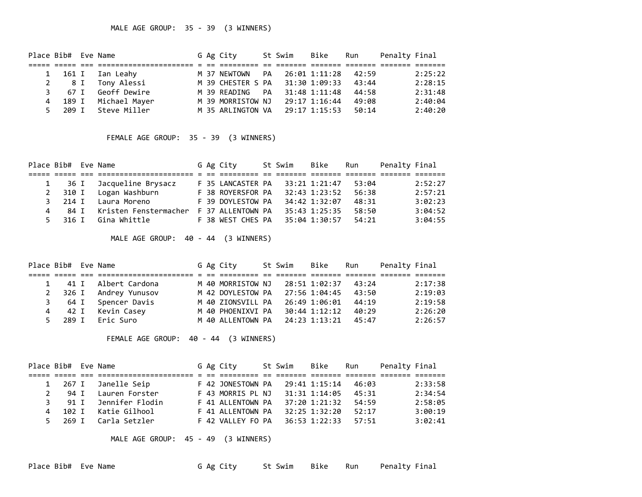| Place Bib# Eve Name |         |                       |  | G Ag City                       |           | St Swim | Bike          | Run   | Penalty Final |         |
|---------------------|---------|-----------------------|--|---------------------------------|-----------|---------|---------------|-------|---------------|---------|
|                     |         |                       |  |                                 |           |         |               |       |               |         |
|                     |         | 1 161 I Ian Leahy     |  | M 37 NEWTOWN                    | PA        |         | 26:01 1:11:28 | 42:59 |               | 2:25:22 |
|                     | 2 8 I   | Tony Alessi           |  | M 39 CHESTER S PA 31:30 1:09:33 |           |         |               | 43:44 |               | 2:28:15 |
|                     | 3 67 I  | Geoff Dewire          |  | M 39 READING                    | <b>PA</b> |         | 31:48 1:11:48 | 44:58 |               | 2:31:48 |
| 4                   |         | 189 I   Michael Mayer |  | M 39 MORRISTOW NJ               |           |         | 29:17 1:16:44 | 49:08 |               | 2:40:04 |
|                     | 5 209 I | Steve Miller          |  | M 35 ARLINGTON VA               |           |         | 29:17 1:15:53 | 50:14 |               | 2:40:20 |

## FEMALE AGE GROUP: 35 - 39 (3 WINNERS)

| Place Bib# Eve Name |         |                       |  | G Ag City         | St Swim | Bike          | Run   | Penalty Final |         |
|---------------------|---------|-----------------------|--|-------------------|---------|---------------|-------|---------------|---------|
|                     |         |                       |  |                   |         |               |       |               |         |
|                     | 36 I    | Jacqueline Brysacz    |  | F 35 LANCASTER PA |         | 33:21 1:21:47 | 53:04 |               | 2:52:27 |
| $2^{\circ}$         | 310 I   | Logan Washburn        |  | F 38 ROYERSFOR PA |         | 32:43 1:23:52 | 56:38 |               | 2:57:21 |
|                     | 3 214 I | Laura Moreno          |  | F 39 DOYLESTOW PA |         | 34:42 1:32:07 | 48:31 |               | 3:02:23 |
| 4                   | 84 T    | Kristen Fenstermacher |  | F 37 ALLENTOWN PA |         | 35:43 1:25:35 | 58:50 |               | 3:04:52 |
|                     | 5 316 I | Gina Whittle          |  | F 38 WEST CHES PA |         | 35:04 1:30:57 | 54:21 |               | 3:04:55 |

MALE AGE GROUP: 40 - 44 (3 WINNERS)

| Place Bib# Eve Name |                        |  | G Ag City         | St Swim | Bike          | Run   | Penalty Final |         |
|---------------------|------------------------|--|-------------------|---------|---------------|-------|---------------|---------|
|                     |                        |  |                   |         |               |       |               |         |
|                     | 41 I Albert Cardona    |  | M 40 MORRISTOW NJ |         | 28:51 1:02:37 | 43:24 |               | 2:17:38 |
|                     | 2 326 I Andrey Yunusov |  | M 42 DOYLESTOW PA |         | 27:56 1:04:45 | 43:50 |               | 2:19:03 |
| 3 64 I              | Spencer Davis          |  | M 40 ZIONSVILL PA |         | 26:49 1:06:01 | 44:19 |               | 2:19:58 |
| 4                   | 42 I Kevin Casey       |  | M 40 PHOENIXVI PA |         | 30:44 1:12:12 | 40:29 |               | 2:26:20 |
| 5 289 I             | Eric Suro              |  | M 40 ALLENTOWN PA |         | 24:23 1:13:21 | 45:47 |               | 2:26:57 |

FEMALE AGE GROUP: 40 - 44 (3 WINNERS)

| Place Bib# Eve Name |         |                                     |  | G Ag City         | St Swim | Bike          | Run   | Penalty Final |         |
|---------------------|---------|-------------------------------------|--|-------------------|---------|---------------|-------|---------------|---------|
|                     |         | -------------------- - -- --------- |  |                   |         |               |       |               |         |
|                     | 1 267 I | Janelle Seip                        |  | F 42 JONESTOWN PA |         | 29:41 1:15:14 | 46:03 |               | 2:33:58 |
|                     | 94 T    | Lauren Forster                      |  | F 43 MORRIS PL NJ |         | 31:31 1:14:05 | 45:31 |               | 2:34:54 |
|                     | 3 91 T  | Jennifer Flodin                     |  | F 41 ALLENTOWN PA |         | 37:20 1:21:32 | 54:59 |               | 2:58:05 |
|                     |         | 4 102 I Katie Gilhool               |  | F 41 ALLENTOWN PA |         | 32:25 1:32:20 | 52:17 |               | 3:00:19 |
|                     |         | 5 269 I Carla Setzler               |  | F 42 VALLEY FO PA |         | 36:53 1:22:33 | 57:51 |               | 3:02:41 |

MALE AGE GROUP: 45 - 49 (3 WINNERS)

Place Bib# Eve Name The St Ag City St Swim Bike Run Penalty Final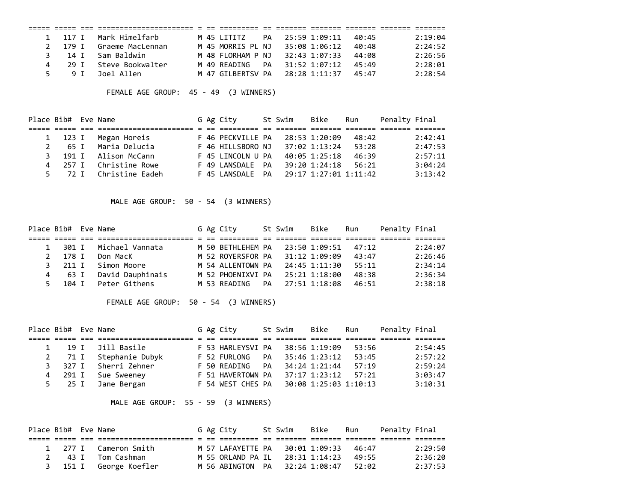|    |         |      | 1 117 I Mark Himelfarb |  | M 45 ITTTTZ       | PA |                     | 25:59 1:09:11 | 40:45 | 2:19:04 |
|----|---------|------|------------------------|--|-------------------|----|---------------------|---------------|-------|---------|
|    | 2 179 T |      | Graeme MacLennan       |  | M 45 MORRIS PL NJ |    |                     | 35:08 1:06:12 | 40:48 | 2:24:52 |
|    |         |      | 3 14 I Sam Baldwin     |  | M 48 FIORHAM P NJ |    |                     | 32:43 1:07:33 | 44:08 | 2:26:56 |
| 4  |         | 29 T | Steve Bookwalter       |  | M 49 RFADING      | PA |                     | 31:52 1:07:12 | 45:49 | 2:28:01 |
| 5. |         | 9 T  | Joel Allen             |  | M 47 GTIBFRTSV PA |    | 28:28 1:11:37 45:47 |               |       | 2:28:54 |

FEMALE AGE GROUP: 45 - 49 (3 WINNERS)

| Place Bib# Eve Name |         |                        |  | G Ag City         | St Swim | Bike                  | Run   | Penalty Final |         |
|---------------------|---------|------------------------|--|-------------------|---------|-----------------------|-------|---------------|---------|
|                     |         |                        |  |                   |         |                       |       |               |         |
|                     | 1 123 I | Megan Horeis           |  | F 46 PECKVILLE PA |         | 28:53 1:20:09         | 48:42 |               | 2:42:41 |
| 2                   | 65 I    | Maria Delucia          |  | F 46 HILLSBORO NJ |         | 37:02 1:13:24         | 53:28 |               | 2:47:53 |
| 3.                  | 191 I   | Alison McCann          |  | F 45 LINCOLN U PA |         | 40:05 1:25:18         | 46:39 |               | 2:57:11 |
|                     | 4 257 I | Christine Rowe         |  | F 49 LANSDALE PA  |         | 39:20 1:24:18         | 56:21 |               | 3:04:24 |
|                     |         | 5 72 I Christine Eadeh |  | F 45 LANSDALE PA  |         | 29:17 1:27:01 1:11:42 |       |               | 3:13:42 |

MALE AGE GROUP: 50 - 54 (3 WINNERS)

| Place Bib# Eve Name |         |                    |  | G Ag City         | St Swim | Bike          | Run   | Penalty Final |         |
|---------------------|---------|--------------------|--|-------------------|---------|---------------|-------|---------------|---------|
|                     |         | ._______ _ _ __ __ |  |                   |         |               |       |               |         |
|                     | 1 301 I | Michael Vannata    |  | M 50 BETHLEHEM PA |         | 23:50 1:09:51 | 47:12 |               | 2:24:07 |
|                     | 2 178 I | Don MacK           |  | M 52 ROYERSFOR PA |         | 31:12 1:09:09 | 43:47 |               | 2:26:46 |
|                     | 3 211 I | Simon Moore        |  | M 54 ALLENTOWN PA |         | 24:45 1:11:30 | 55:11 |               | 2:34:14 |
|                     | 4 63 I  | David Dauphinais   |  | M 52 PHOENIXVI PA |         | 25:21 1:18:00 | 48:38 |               | 2:36:34 |
| 5.                  | 104 I   | Peter Githens      |  | M 53 READING PA   |         | 27:51 1:18:08 | 46:51 |               | 2:38:18 |

FEMALE AGE GROUP: 50 - 54 (3 WINNERS)

| Place Bib# Eve Name |        |                 |  | G Ag City         |    | St Swim | Bike                  | Run   | Penalty Final |         |
|---------------------|--------|-----------------|--|-------------------|----|---------|-----------------------|-------|---------------|---------|
|                     |        |                 |  |                   |    |         |                       |       |               |         |
|                     | 19 T   | Jill Basile     |  | F 53 HARLEYSVI PA |    |         | 38:56 1:19:09         | 53:56 |               | 2:54:45 |
|                     | 2 71 I | Stephanie Dubyk |  | F 52 FURLONG      | PA |         | 35:46 1:23:12         | 53:45 |               | 2:57:22 |
| 3                   | 327 I  | Sherri Zehner   |  | F 50 READING      | PA |         | 34:24 1:21:44         | 57:19 |               | 2:59:24 |
| 4                   | 291 I  | Sue Sweeney     |  | F 51 HAVERTOWN PA |    |         | 37:17 1:23:12         | 57:21 |               | 3:03:47 |
|                     | 5 25 I | Jane Bergan     |  | F 54 WEST CHES PA |    |         | 30:08 1:25:03 1:10:13 |       |               | 3:10:31 |

MALE AGE GROUP: 55 - 59 (3 WINNERS)

| Place Bib# Eve Name |  |                        |  | G Ag City         | St Swim - Bike |                     | Run   | Penalty Final |         |
|---------------------|--|------------------------|--|-------------------|----------------|---------------------|-------|---------------|---------|
|                     |  |                        |  |                   |                |                     |       |               |         |
|                     |  | 1 277 I Cameron Smith  |  | M 57 LAFAYETTE PA |                | 30:01 1:09:33 46:47 |       |               | 2:29:50 |
|                     |  | 2 43 I Tom Cashman     |  | M 55 ORLAND PA IL |                | 28:31 1:14:23       | 49:55 |               | 2:36:20 |
|                     |  | 3 151 I George Koefler |  | M 56 ABINGTON PA  |                | 32:24 1:08:47       | 52:02 |               | 2:37:53 |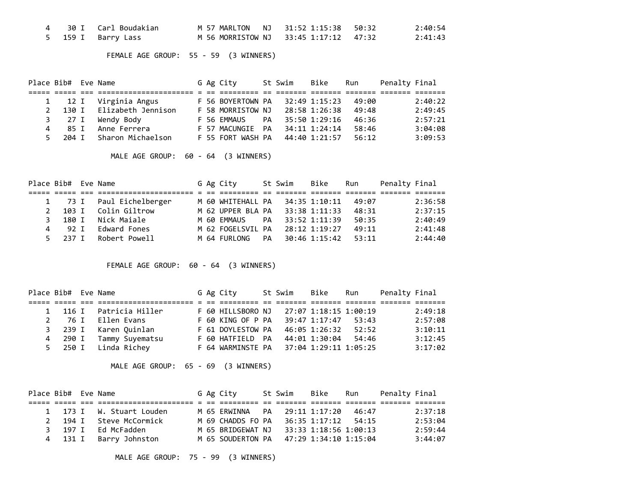|  |                    | M 57 MARLTON NJ 31:52 1:15:38 50:32   |  | 2:40:54 |
|--|--------------------|---------------------------------------|--|---------|
|  | 5 159 I Barry Lass | M 56 MORRISTOW NJ 33:45 1:17:12 47:32 |  | 2:41:43 |

FEMALE AGE GROUP: 55 - 59 (3 WINNERS)

| Place Bib# Eve Name |       |      |                         |  | G Ag City         |    | St Swim | Bike          | Run   | Penalty Final |         |
|---------------------|-------|------|-------------------------|--|-------------------|----|---------|---------------|-------|---------------|---------|
|                     |       |      | ======================= |  |                   |    |         |               |       |               |         |
|                     |       | 12 I | Virginia Angus          |  | F 56 BOYERTOWN PA |    |         | 32:49 1:15:23 | 49:00 |               | 2:40:22 |
|                     | 130 T |      | Elizabeth Jennison      |  | F 58 MORRISTOW NJ |    |         | 28:58 1:26:38 | 49:48 |               | 2:49:45 |
|                     |       | 27 I | Wendy Body              |  | F 56 EMMAUS       | PA |         | 35:50 1:29:16 | 46:36 |               | 2:57:21 |
| 4                   |       | 85 T | Anne Ferrera            |  | F 57 MACUNGIE PA  |    |         | 34:11 1:24:14 | 58:46 |               | 3:04:08 |
| 5.                  | 204 T |      | Sharon Michaelson       |  | F 55 FORT WASH PA |    |         | 44:40 1:21:57 | 56:12 |               | 3:09:53 |

MALE AGE GROUP: 60 - 64 (3 WINNERS)

| Place Bib# Eve Name |        |                   |  | G Ag City         |    | St Swim | Bike          | Run   | Penalty Final |         |
|---------------------|--------|-------------------|--|-------------------|----|---------|---------------|-------|---------------|---------|
|                     |        |                   |  |                   |    |         |               |       |               |         |
|                     | 1 73 I | Paul Eichelberger |  | M 60 WHITEHALL PA |    |         | 34:35 1:10:11 | 49:07 |               | 2:36:58 |
| $\mathcal{P}$       | 103 T  | Colin Giltrow     |  | M 62 UPPER BLA PA |    |         | 33:38 1:11:33 | 48:31 |               | 2:37:15 |
| 3.                  | 180 T  | Nick Maiale       |  | M 60 EMMAUS       | PА |         | 33:52 1:11:39 | 50:35 |               | 2:40:49 |
|                     | 92 T   | Edward Fones      |  | M 62 FOGELSVIL PA |    |         | 28:12 1:19:27 | 49:11 |               | 2:41:48 |
| 5.                  | 237 T  | Robert Powell     |  | M 64 FURLONG      | PA |         | 30:46 1:15:42 | 53:11 |               | 2:44:40 |

FEMALE AGE GROUP: 60 - 64 (3 WINNERS)

| Place Bib# Eve Name |         |                         |  | G Ag City                               | St Swim               | Bike          | Run   | Penalty Final |         |
|---------------------|---------|-------------------------|--|-----------------------------------------|-----------------------|---------------|-------|---------------|---------|
|                     |         | ---------- - -- -       |  |                                         |                       |               |       |               |         |
|                     |         | 1 116 I Patricia Hiller |  | F 60 HILLSBORO NJ                       | 27:07 1:18:15 1:00:19 |               |       |               | 2:49:18 |
|                     | 2 76 I  | Ellen Evans             |  | F 60 KING OF P PA                       |                       | 39:47 1:17:47 | 53:43 |               | 2:57:08 |
|                     |         | 3 239 I Karen Quinlan   |  | F 61 DOYLESTOW PA                       |                       | 46:05 1:26:32 | 52:52 |               | 3:10:11 |
|                     | 4 290 I | Tammy Suyematsu         |  | F 60 HATFIELD PA                        |                       | 44:01 1:30:04 | 54:46 |               | 3:12:45 |
|                     |         | 5 250 I Linda Richey    |  | F 64 WARMINSTE PA 37:04 1:29:11 1:05:25 |                       |               |       |               | 3:17:02 |

MALE AGE GROUP: 65 - 69 (3 WINNERS)

| Place Bib# Eve Name    |                          |  | G Ag City                     | St Swim - Bike |                       | Run   | Penalty Final |         |
|------------------------|--------------------------|--|-------------------------------|----------------|-----------------------|-------|---------------|---------|
|                        |                          |  |                               |                |                       |       |               |         |
|                        | 1 173 I W. Stuart Louden |  | M 65 ERWINNA PA 29:11 1:17:20 |                |                       | 46:47 |               | 2:37:18 |
| 194 I<br>$\mathcal{P}$ | Steve McCormick          |  | M 69 CHADDS FO PA             |                | 36:35 1:17:12 54:15   |       |               | 2:53:04 |
| 197 T<br>२             | Ed McFadden              |  | M 65 BRIDGEWAT NJ             |                | 33:33 1:18:56 1:00:13 |       |               | 2:59:44 |
| 4 131 I                | Barry Johnston           |  | M 65 SOUDERTON PA             |                | 47:29 1:34:10 1:15:04 |       |               | 3:44:07 |

MALE AGE GROUP: 75 - 99 (3 WINNERS)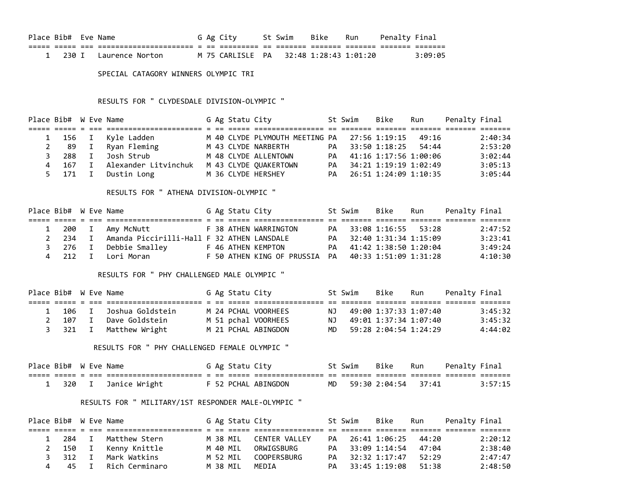| Place Bib# Eve Name |  |                         |  | G Ag City                              | St Swim - Bike | Run | Penalty Final |         |
|---------------------|--|-------------------------|--|----------------------------------------|----------------|-----|---------------|---------|
|                     |  |                         |  |                                        |                |     |               |         |
|                     |  | 1 230 I Laurence Norton |  | M 75 CARLISLE PA 32:48 1:28:43 1:01:20 |                |     |               | 3:09:05 |

SPECIAL CATAGORY WINNERS OLYMPIC TRI

RESULTS FOR " CLYDESDALE DIVISION-OLYMPIC "

| Place Bib# W Eve Name |              |                              |  | G Ag Statu City |                       | St Swim                  | Bike | Run | Penalty Final |         |
|-----------------------|--------------|------------------------------|--|-----------------|-----------------------|--------------------------|------|-----|---------------|---------|
|                       |              |                              |  |                 |                       |                          |      |     |               |         |
|                       |              | 1 156 I Kyle Ladden          |  |                 |                       |                          |      |     |               | 2:40:34 |
|                       |              | 2 89 I Ryan Fleming          |  |                 | M 43 CLYDE NARBERTH   | PA 33:50 1:18:25 54:44   |      |     |               | 2:53:20 |
| 3 288                 |              | I Josh Strub                 |  |                 | M 48 CLYDE ALLENTOWN  | PA 41:16 1:17:56 1:00:06 |      |     |               | 3:02:44 |
|                       |              | 4 167 I Alexander Litvinchuk |  |                 | M 43 CLYDE QUAKERTOWN | PA 34:21 1:19:19 1:02:49 |      |     |               | 3:05:13 |
| 5 171                 | $\mathbf{I}$ | Dustin Long                  |  |                 | M 36 CLYDE HERSHEY    | PA 26:51 1:24:09 1:10:35 |      |     |               | 3:05:44 |

RESULTS FOR " ATHENA DIVISION-OLYMPIC "

| Place Bib# W Eve Name |  |                                                    |  | G Ag Statu City |                                                     | St Swim                  | Bike | Run | Penalty Final |         |
|-----------------------|--|----------------------------------------------------|--|-----------------|-----------------------------------------------------|--------------------------|------|-----|---------------|---------|
|                       |  |                                                    |  |                 |                                                     |                          |      |     |               |         |
|                       |  | 1 200 I Amy McNutt                                 |  |                 | F 38 ATHEN WARRINGTON                               | PA 33:08 1:16:55 53:28   |      |     |               | 2:47:52 |
|                       |  | 2 234 I Amanda Piccirilli-Hall F 32 ATHEN LANSDALE |  |                 |                                                     | PA 32:40 1:31:34 1:15:09 |      |     |               | 3:23:41 |
|                       |  | 3 276 I Debbie Smalley                             |  |                 | F 46 ATHEN KEMPTON                                  | PA 41:42 1:38:50 1:20:04 |      |     |               | 3:49:24 |
|                       |  | 4 212 I Lori-Moran                                 |  |                 | F 50 ATHEN KING OF PRUSSIA PA 40:33 1:51:09 1:31:28 |                          |      |     |               | 4:10:30 |

## RESULTS FOR " PHY CHALLENGED MALE OLYMPIC "

| Place Bib# W Eve Name |  |                          |  | G Ag Statu City |                     | St Swim                  | Bike | Run | Penalty Final |         |
|-----------------------|--|--------------------------|--|-----------------|---------------------|--------------------------|------|-----|---------------|---------|
|                       |  |                          |  |                 |                     |                          |      |     |               |         |
|                       |  | 1 106 I Joshua Goldstein |  |                 | M 24 PCHAL VOORHEES | NJ 49:00 1:37:33 1:07:40 |      |     |               | 3:45:32 |
|                       |  | 2 107 I Dave Goldstein   |  |                 | M 51 pchal VOORHEES | NJ 49:01 1:37:34 1:07:40 |      |     |               | 3:45:32 |
|                       |  | 3 321 I Matthew Wright   |  |                 | M 21 PCHAL ABINGDON | MD 59:28 2:04:54 1:24:29 |      |     |               | 4:44:02 |

RESULTS FOR " PHY CHALLENGED FEMALE OLYMPIC "

| Place Bib# W Eve Name |  |                       |  | G Ag Statu City |                     | St Swim                | . Bike | Run | Penalty Final |         |
|-----------------------|--|-----------------------|--|-----------------|---------------------|------------------------|--------|-----|---------------|---------|
|                       |  |                       |  |                 |                     |                        |        |     |               |         |
|                       |  | 1 320 I Janice Wright |  |                 | F 52 PCHAL ABINGDON | MD 59:30 2:04:54 37:41 |        |     |               | 3:57:15 |

## RESULTS FOR " MILITARY/1ST RESPONDER MALE-OLYMPIC "

| Place Bib# W Eve Name |         |  |                       |  | G Ag Statu City |                    |    | St Swim | Bike                   | Run | Penalty Final |         |
|-----------------------|---------|--|-----------------------|--|-----------------|--------------------|----|---------|------------------------|-----|---------------|---------|
|                       |         |  |                       |  |                 |                    |    |         |                        |     |               |         |
|                       | 1 284 I |  | Matthew Stern         |  | M 38 MIL        | CENTER VALLEY      | PA |         | 26:41 1:06:25 44:20    |     |               | 2:20:12 |
|                       |         |  | 2 150 I Kenny Knittle |  | M 40 MIL        | ORWTGSBURG         |    |         | PA 33:09 1:14:54 47:04 |     |               | 2:38:40 |
|                       | 3 312 I |  | Mark Watkins          |  | M 52 MIL        | <b>COOPFRSBURG</b> |    |         | PA 32:32 1:17:47 52:29 |     |               | 2:47:47 |
|                       |         |  | 4 45 I Rich Cerminaro |  | M 38 MIL        | MEDIA              |    |         | PA 33:45 1:19:08 51:38 |     |               | 2:48:50 |